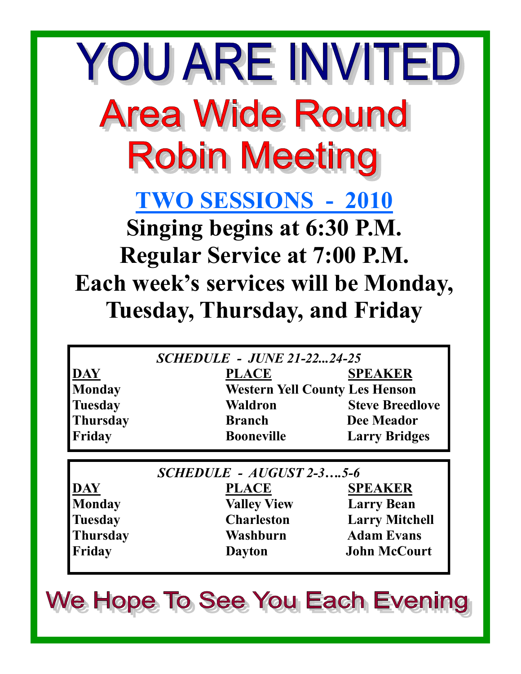YOU ARE INVITED **Area Wide Round Robin Meeting TWO SESSIONS - 2010 Singing begins at 6:30 P.M. Regular Service at 7:00 P.M. Each week's services will be Monday, Tuesday, Thursday, and Friday**

|                | <b>SCHEDULE - JUNE 21-2224-25</b>     |                        |
|----------------|---------------------------------------|------------------------|
| DAY            | <b>PLACE</b>                          | <b>SPEAKER</b>         |
| <b>Monday</b>  | <b>Western Yell County Les Henson</b> |                        |
| <b>Tuesday</b> | <b>Waldron</b>                        | <b>Steve Breedlove</b> |
| Thursday       | <b>Branch</b>                         | Dee Meador             |
| Friday         | <b>Booneville</b>                     | <b>Larry Bridges</b>   |

| $SCHEDULE - AUGUST 2-35-6$ |                    |                       |
|----------------------------|--------------------|-----------------------|
| DAY                        | <b>PLACE</b>       | <b>SPEAKER</b>        |
| <b>Monday</b>              | <b>Valley View</b> | <b>Larry Bean</b>     |
| <b>Tuesday</b>             | <b>Charleston</b>  | <b>Larry Mitchell</b> |
| <b>Thursday</b>            | Washburn           | <b>Adam Evans</b>     |
| Friday                     | <b>Dayton</b>      | <b>John McCourt</b>   |

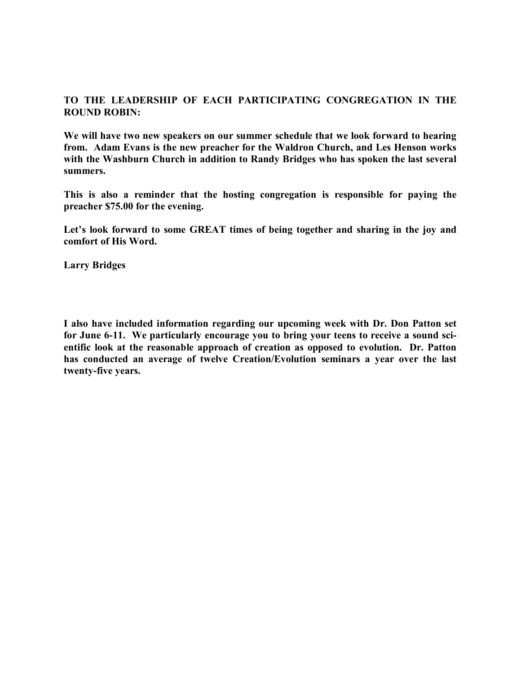## **TO THE LEADERSHIP OF EACH PARTICIPATING CONGREGATION IN THE ROUND ROBIN:**

**We will have two new speakers on our summer schedule that we look forward to hearing from. Adam Evans is the new preacher for the Waldron Church, and Les Henson works with the Washburn Church in addition to Randy Bridges who has spoken the last several summers.**

**This is also a reminder that the hosting congregation is responsible for paying the preacher \$75.00 for the evening.**

**Let's look forward to some GREAT times of being together and sharing in the joy and comfort of His Word.**

**Larry Bridges**

**I also have included information regarding our upcoming week with Dr. Don Patton set for June 6-11. We particularly encourage you to bring your teens to receive a sound scientific look at the reasonable approach of creation as opposed to evolution. Dr. Patton has conducted an average of twelve Creation/Evolution seminars a year over the last twenty-five years.**